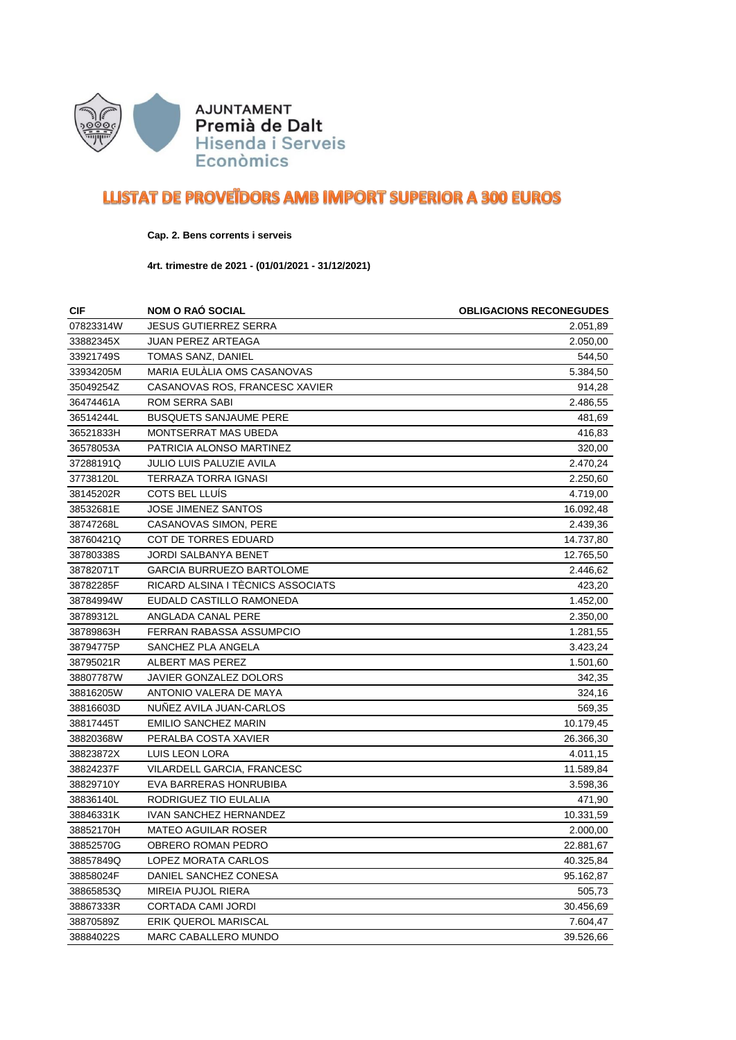

## **LLISTAT DE PROVETDORS AMB IMPORT SUPERIOR A 300 EUROS**

## **Cap. 2. Bens corrents i serveis**

**4rt. trimestre de 2021 - (01/01/2021 - 31/12/2021)**

| <b>CIF</b> | <b>NOM O RAO SOCIAL</b>           | <b>OBLIGACIONS RECONEGUDES</b> |
|------------|-----------------------------------|--------------------------------|
| 07823314W  | <b>JESUS GUTIERREZ SERRA</b>      | 2.051,89                       |
| 33882345X  | <b>JUAN PEREZ ARTEAGA</b>         | 2.050,00                       |
| 33921749S  | TOMAS SANZ, DANIEL                | 544,50                         |
| 33934205M  | MARIA EULALIA OMS CASANOVAS       | 5.384,50                       |
| 35049254Z  | CASANOVAS ROS, FRANCESC XAVIER    | 914,28                         |
| 36474461A  | ROM SERRA SABI                    | 2.486,55                       |
| 36514244L  | <b>BUSQUETS SANJAUME PERE</b>     | 481,69                         |
| 36521833H  | MONTSERRAT MAS UBEDA              | 416,83                         |
| 36578053A  | PATRICIA ALONSO MARTINEZ          | 320,00                         |
| 37288191Q  | JULIO LUIS PALUZIE AVILA          | 2.470,24                       |
| 37738120L  | TERRAZA TORRA IGNASI              | 2.250,60                       |
| 38145202R  | <b>COTS BEL LLUIS</b>             | 4.719,00                       |
| 38532681E  | JOSE JIMENEZ SANTOS               | 16.092,48                      |
| 38747268L  | CASANOVAS SIMON, PERE             | 2.439,36                       |
| 38760421Q  | <b>COT DE TORRES EDUARD</b>       | 14.737,80                      |
| 38780338S  | <b>JORDI SALBANYA BENET</b>       | 12.765,50                      |
| 38782071T  | <b>GARCIA BURRUEZO BARTOLOME</b>  | 2.446,62                       |
| 38782285F  | RICARD ALSINA I TÉCNICS ASSOCIATS | 423,20                         |
| 38784994W  | EUDALD CASTILLO RAMONEDA          | 1.452,00                       |
| 38789312L  | ANGLADA CANAL PERE                | 2.350,00                       |
| 38789863H  | FERRAN RABASSA ASSUMPCIO          | 1.281,55                       |
| 38794775P  | SANCHEZ PLA ANGELA                | 3.423,24                       |
| 38795021R  | ALBERT MAS PEREZ                  | 1.501,60                       |
| 38807787W  | JAVIER GONZALEZ DOLORS            | 342,35                         |
| 38816205W  | ANTONIO VALERA DE MAYA            | 324,16                         |
| 38816603D  | NUNEZ AVILA JUAN-CARLOS           | 569,35                         |
| 38817445T  | <b>EMILIO SANCHEZ MARIN</b>       | 10.179,45                      |
| 38820368W  | PERALBA COSTA XAVIER              | 26.366,30                      |
| 38823872X  | LUIS LEON LORA                    | 4.011,15                       |
| 38824237F  | VILARDELL GARCIA, FRANCESC        | 11.589,84                      |
| 38829710Y  | EVA BARRERAS HONRUBIBA            | 3.598,36                       |
| 38836140L  | RODRIGUEZ TIO EULALIA             | 471,90                         |
| 38846331K  | <b>IVAN SANCHEZ HERNANDEZ</b>     | 10.331,59                      |
| 38852170H  | <b>MATEO AGUILAR ROSER</b>        | 2.000,00                       |
| 38852570G  | OBRERO ROMAN PEDRO                | 22.881,67                      |
| 38857849Q  | LOPEZ MORATA CARLOS               | 40.325,84                      |
| 38858024F  | DANIEL SANCHEZ CONESA             | 95.162,87                      |
| 38865853Q  | <b>MIREIA PUJOL RIERA</b>         | 505,73                         |
| 38867333R  | <b>CORTADA CAMI JORDI</b>         | 30.456,69                      |
| 38870589Z  | <b>ERIK QUEROL MARISCAL</b>       | 7.604,47                       |
| 38884022S  | MARC CABALLERO MUNDO              | 39.526,66                      |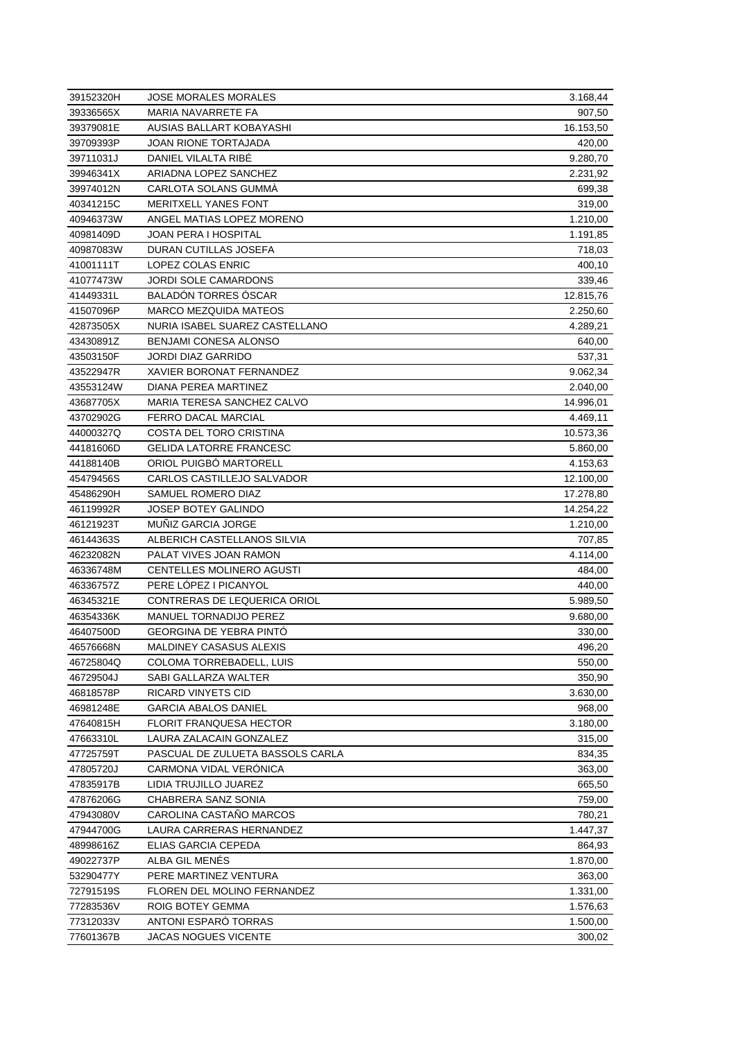| 39152320H | <b>JOSE MORALES MORALES</b>      | 3.168,44  |
|-----------|----------------------------------|-----------|
| 39336565X | <b>MARIA NAVARRETE FA</b>        | 907,50    |
| 39379081E | AUSIAS BALLART KOBAYASHI         | 16.153,50 |
| 39709393P | JOAN RIONE TORTAJADA             | 420,00    |
| 39711031J | DANIEL VILALTA RIBE              | 9.280,70  |
| 39946341X | ARIADNA LOPEZ SANCHEZ            | 2.231,92  |
| 39974012N | CARLOTA SOLANS GUMMA             | 699,38    |
| 40341215C | <b>MERITXELL YANES FONT</b>      | 319,00    |
| 40946373W | ANGEL MATIAS LOPEZ MORENO        | 1.210,00  |
| 40981409D | <b>JOAN PERA I HOSPITAL</b>      | 1.191,85  |
| 40987083W | DURAN CUTILLAS JOSEFA            | 718,03    |
| 41001111T | LOPEZ COLAS ENRIC                | 400,10    |
| 41077473W | <b>JORDI SOLE CAMARDONS</b>      | 339,46    |
| 41449331L | <b>BALADON TORRES OSCAR</b>      | 12.815,76 |
| 41507096P | <b>MARCO MEZQUIDA MATEOS</b>     | 2.250,60  |
| 42873505X | NURIA ISABEL SUAREZ CASTELLANO   | 4.289,21  |
| 43430891Z | BENJAMI CONESA ALONSO            | 640,00    |
| 43503150F | JORDI DIAZ GARRIDO               | 537,31    |
| 43522947R | <b>XAVIER BORONAT FERNANDEZ</b>  | 9.062,34  |
| 43553124W | DIANA PEREA MARTINEZ             | 2.040,00  |
| 43687705X | MARIA TERESA SANCHEZ CALVO       | 14.996,01 |
| 43702902G | <b>FERRO DACAL MARCIAL</b>       | 4.469,11  |
| 44000327Q | COSTA DEL TORO CRISTINA          | 10.573,36 |
| 44181606D | <b>GELIDA LATORRE FRANCESC</b>   | 5.860,00  |
| 44188140B | ORIOL PUIGBO MARTORELL           | 4.153,63  |
| 45479456S | CARLOS CASTILLEJO SALVADOR       | 12.100,00 |
| 45486290H | SAMUEL ROMERO DIAZ               | 17.278,80 |
| 46119992R | JOSEP BOTEY GALINDO              | 14.254,22 |
| 46121923T | <b>MUNIZ GARCIA JORGE</b>        | 1.210,00  |
| 46144363S | ALBERICH CASTELLANOS SILVIA      | 707,85    |
| 46232082N | PALAT VIVES JOAN RAMON           | 4.114,00  |
| 46336748M | CENTELLES MOLINERO AGUSTI        | 484,00    |
| 46336757Z | PERE LOPEZ I PICANYOL            | 440,00    |
| 46345321E | CONTRERAS DE LEQUERICA ORIOL     | 5.989,50  |
| 46354336K | MANUEL TORNADIJO PEREZ           | 9.680,00  |
| 46407500D | <b>GEORGINA DE YEBRA PINTO</b>   | 330,00    |
| 46576668N | MALDINEY CASASUS ALEXIS          | 496,20    |
| 46725804Q | COLOMA TORREBADELL, LUIS         | 550,00    |
| 46729504J | SABI GALLARZA WALTER             | 350,90    |
| 46818578P | RICARD VINYETS CID               | 3.630,00  |
| 46981248E | GARCIA ABALOS DANIEL             | 968,00    |
| 47640815H | <b>FLORIT FRANQUESA HECTOR</b>   | 3.180,00  |
| 47663310L | LAURA ZALACAIN GONZALEZ          | 315,00    |
| 47725759T | PASCUAL DE ZULUETA BASSOLS CARLA | 834,35    |
| 47805720J | CARMONA VIDAL VERÓNICA           | 363,00    |
| 47835917B | LIDIA TRUJILLO JUAREZ            | 665,50    |
| 47876206G | CHABRERA SANZ SONIA              | 759,00    |
| 47943080V | CAROLINA CASTANO MARCOS          | 780,21    |
| 47944700G | LAURA CARRERAS HERNANDEZ         | 1.447,37  |
| 48998616Z | ELIAS GARCIA CEPEDA              | 864,93    |
| 49022737P | ALBA GIL MENES                   | 1.870,00  |
| 53290477Y | PERE MARTINEZ VENTURA            | 363,00    |
| 72791519S | FLOREN DEL MOLINO FERNANDEZ      | 1.331,00  |
| 77283536V | ROIG BOTEY GEMMA                 | 1.576,63  |
| 77312033V | ANTONI ESPARO TORRAS             | 1.500,00  |
| 77601367B | JACAS NOGUES VICENTE             | 300,02    |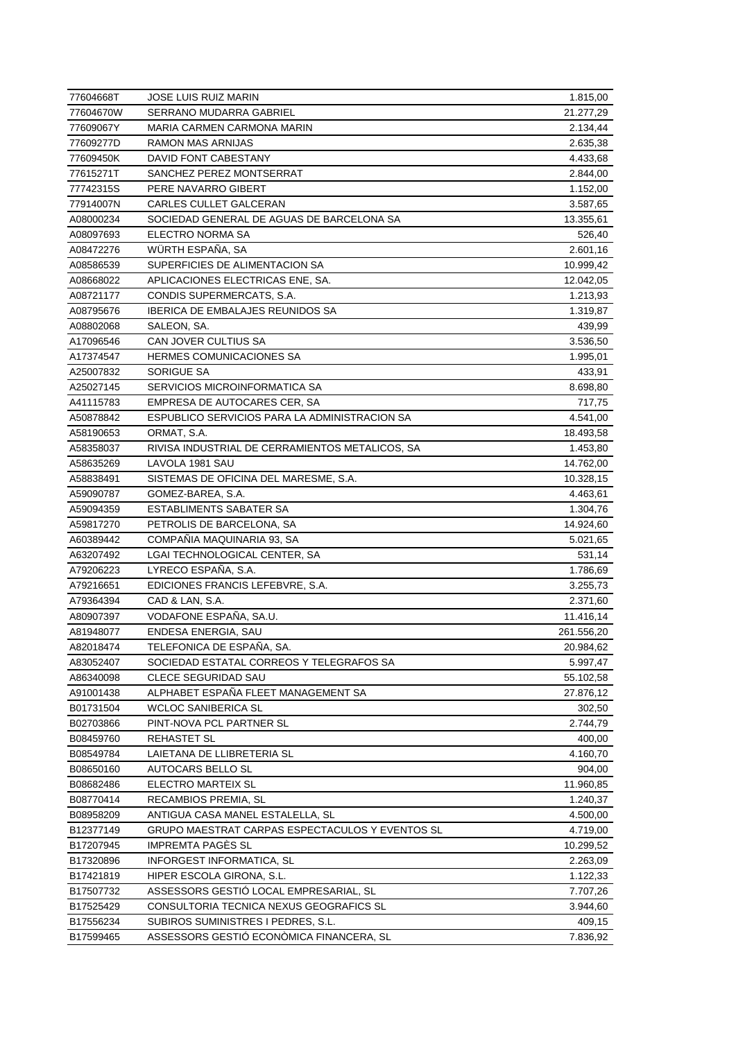| 77604668T | <b>JOSE LUIS RUIZ MARIN</b>                                       | 1.815,00   |
|-----------|-------------------------------------------------------------------|------------|
| 77604670W | SERRANO MUDARRA GABRIEL                                           | 21.277,29  |
| 77609067Y | <b>MARIA CARMEN CARMONA MARIN</b>                                 | 2.134,44   |
| 77609277D | RAMON MAS ARNIJAS                                                 | 2.635,38   |
| 77609450K | DAVID FONT CABESTANY                                              | 4.433,68   |
| 77615271T | SANCHEZ PEREZ MONTSERRAT                                          | 2.844,00   |
| 77742315S | PERE NAVARRO GIBERT                                               | 1.152,00   |
| 77914007N | CARLES CULLET GALCERAN                                            | 3.587,65   |
| A08000234 | SOCIEDAD GENERAL DE AGUAS DE BARCELONA SA                         | 13.355,61  |
| A08097693 | ELECTRO NORMA SA                                                  | 526,40     |
| A08472276 | WÜRTH ESPAÑA, SA                                                  | 2.601,16   |
| A08586539 | SUPERFICIES DE ALIMENTACION SA                                    | 10.999,42  |
| A08668022 | APLICACIONES ELECTRICAS ENE, SA.                                  | 12.042,05  |
| A08721177 | CONDIS SUPERMERCATS, S.A.                                         | 1.213,93   |
| A08795676 | <b>IBERICA DE EMBALAJES REUNIDOS SA</b>                           | 1.319,87   |
| A08802068 | SALEON, SA.                                                       | 439,99     |
| A17096546 | <b>CAN JOVER CULTIUS SA</b>                                       | 3.536,50   |
| A17374547 | <b>HERMES COMUNICACIONES SA</b>                                   | 1.995,01   |
| A25007832 | SORIGUE SA                                                        | 433,91     |
| A25027145 | SERVICIOS MICROINFORMATICA SA                                     | 8.698,80   |
| A41115783 | EMPRESA DE AUTOCARES CER, SA                                      | 717,75     |
| A50878842 | ESPUBLICO SERVICIOS PARA LA ADMINISTRACION SA                     | 4.541,00   |
| A58190653 | ORMAT, S.A.                                                       | 18.493,58  |
| A58358037 | RIVISA INDUSTRIAL DE CERRAMIENTOS METALICOS, SA                   | 1.453,80   |
| A58635269 | LAVOLA 1981 SAU                                                   | 14.762,00  |
| A58838491 | SISTEMAS DE OFICINA DEL MARESME, S.A.                             | 10.328,15  |
| A59090787 | GOMEZ-BAREA, S.A.                                                 | 4.463,61   |
| A59094359 | <b>ESTABLIMENTS SABATER SA</b>                                    | 1.304,76   |
| A59817270 | PETROLIS DE BARCELONA, SA                                         | 14.924,60  |
| A60389442 | COMPAÑIA MAQUINARIA 93, SA                                        | 5.021,65   |
| A63207492 | LGAI TECHNOLOGICAL CENTER, SA                                     | 531,14     |
| A79206223 | LYRECO ESPANA, S.A.                                               | 1.786,69   |
| A79216651 | EDICIONES FRANCIS LEFEBVRE, S.A.                                  | 3.255,73   |
| A79364394 | CAD & LAN, S.A.                                                   | 2.371,60   |
| A80907397 | VODAFONE ESPAÑA, SA.U.                                            |            |
|           |                                                                   | 11.416,14  |
| A81948077 | ENDESA ENERGIA, SAU<br>TELEFONICA DE ESPAÑA, SA.                  | 261.556,20 |
| A82018474 |                                                                   | 20.984,62  |
| A83052407 | SOCIEDAD ESTATAL CORREOS Y TELEGRAFOS SA                          | 5.997,47   |
| A86340098 | <b>CLECE SEGURIDAD SAU</b><br>ALPHABET ESPAÑA FLEET MANAGEMENT SA | 55.102,58  |
| A91001438 |                                                                   | 27.876,12  |
| B01731504 | <b>WCLOC SANIBERICA SL</b>                                        | 302,50     |
| B02703866 | PINT-NOVA PCL PARTNER SL                                          | 2.744,79   |
| B08459760 | REHASTET SL                                                       | 400,00     |
| B08549784 | LAIETANA DE LLIBRETERIA SL                                        | 4.160,70   |
| B08650160 | AUTOCARS BELLO SL                                                 | 904,00     |
| B08682486 | ELECTRO MARTEIX SL                                                | 11.960,85  |
| B08770414 | RECAMBIOS PREMIA, SL                                              | 1.240,37   |
| B08958209 | ANTIGUA CASA MANEL ESTALELLA, SL                                  | 4.500,00   |
| B12377149 | GRUPO MAESTRAT CARPAS ESPECTACULOS Y EVENTOS SL                   | 4.719,00   |
| B17207945 | <b>IMPREMTA PAGES SL</b>                                          | 10.299,52  |
| B17320896 | INFORGEST INFORMATICA, SL                                         | 2.263,09   |
| B17421819 | HIPER ESCOLA GIRONA, S.L.                                         | 1.122,33   |
| B17507732 | ASSESSORS GESTIO LOCAL EMPRESARIAL, SL                            | 7.707,26   |
| B17525429 | CONSULTORIA TECNICA NEXUS GEOGRAFICS SL                           | 3.944,60   |
| B17556234 | SUBIROS SUMINISTRES I PEDRES, S.L.                                | 409,15     |
| B17599465 | ASSESSORS GESTIÓ ECONÒMICA FINANCERA, SL                          | 7.836,92   |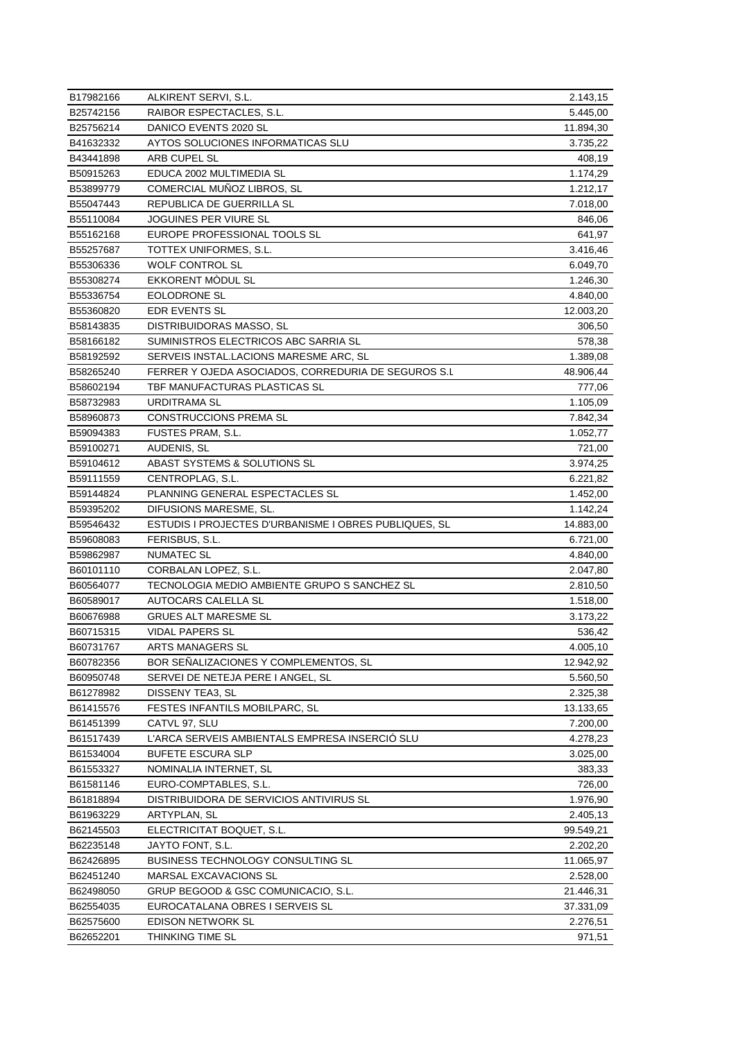| B17982166 | ALKIRENT SERVI, S.L.                                  | 2.143,15  |
|-----------|-------------------------------------------------------|-----------|
| B25742156 | RAIBOR ESPECTACLES, S.L.                              | 5.445,00  |
| B25756214 | DANICO EVENTS 2020 SL                                 | 11.894,30 |
| B41632332 | AYTOS SOLUCIONES INFORMATICAS SLU                     | 3.735,22  |
| B43441898 | ARB CUPEL SL                                          | 408,19    |
| B50915263 | EDUCA 2002 MULTIMEDIA SL                              | 1.174,29  |
| B53899779 | COMERCIAL MUNOZ LIBROS, SL                            | 1.212,17  |
| B55047443 | REPUBLICA DE GUERRILLA SL                             | 7.018,00  |
| B55110084 | JOGUINES PER VIURE SL                                 | 846,06    |
| B55162168 | EUROPE PROFESSIONAL TOOLS SL                          | 641,97    |
| B55257687 | TOTTEX UNIFORMES, S.L.                                | 3.416,46  |
| B55306336 | <b>WOLF CONTROL SL</b>                                | 6.049,70  |
| B55308274 | EKKORENT MODUL SL                                     | 1.246,30  |
| B55336754 | EOLODRONE SL                                          | 4.840,00  |
| B55360820 | EDR EVENTS SL                                         | 12.003,20 |
| B58143835 | DISTRIBUIDORAS MASSO, SL                              | 306,50    |
| B58166182 | SUMINISTROS ELECTRICOS ABC SARRIA SL                  | 578,38    |
| B58192592 | SERVEIS INSTAL.LACIONS MARESME ARC, SL                | 1.389,08  |
| B58265240 | FERRER Y OJEDA ASOCIADOS, CORREDURIA DE SEGUROS S.L   | 48.906,44 |
| B58602194 | TBF MANUFACTURAS PLASTICAS SL                         | 777,06    |
| B58732983 | URDITRAMA SL                                          | 1.105,09  |
| B58960873 | <b>CONSTRUCCIONS PREMA SL</b>                         | 7.842,34  |
| B59094383 | FUSTES PRAM, S.L.                                     | 1.052,77  |
| B59100271 | AUDENIS, SL                                           | 721,00    |
| B59104612 | ABAST SYSTEMS & SOLUTIONS SL                          | 3.974,25  |
| B59111559 | CENTROPLAG, S.L.                                      | 6.221,82  |
| B59144824 | PLANNING GENERAL ESPECTACLES SL                       | 1.452,00  |
| B59395202 | DIFUSIONS MARESME, SL.                                | 1.142,24  |
| B59546432 | ESTUDIS I PROJECTES D'URBANISME I OBRES PUBLIQUES, SL | 14.883,00 |
| B59608083 | FERISBUS, S.L.                                        | 6.721,00  |
| B59862987 | <b>NUMATEC SL</b>                                     | 4.840,00  |
| B60101110 | CORBALAN LOPEZ, S.L.                                  | 2.047,80  |
| B60564077 | TECNOLOGIA MEDIO AMBIENTE GRUPO S SANCHEZ SL          | 2.810,50  |
| B60589017 | AUTOCARS CALELLA SL                                   | 1.518,00  |
| B60676988 | GRUES ALT MARESME SL                                  | 3.173,22  |
| B60715315 | VIDAL PAPERS SL                                       | 536,42    |
| B60731767 | ARTS MANAGERS SL                                      | 4.005,10  |
| B60782356 | BOR SENALIZACIONES Y COMPLEMENTOS, SL                 | 12.942,92 |
| B60950748 | SERVEI DE NETEJA PERE I ANGEL, SL                     | 5.560,50  |
| B61278982 | DISSENY TEA3, SL                                      | 2.325,38  |
| B61415576 | FESTES INFANTILS MOBILPARC, SL                        | 13.133,65 |
| B61451399 | CATVL 97, SLU                                         | 7.200,00  |
| B61517439 | L'ARCA SERVEIS AMBIENTALS EMPRESA INSERCIÓ SLU        | 4.278,23  |
| B61534004 | <b>BUFETE ESCURA SLP</b>                              | 3.025,00  |
| B61553327 | NOMINALIA INTERNET, SL                                | 383,33    |
| B61581146 | EURO-COMPTABLES, S.L.                                 | 726,00    |
| B61818894 | DISTRIBUIDORA DE SERVICIOS ANTIVIRUS SL               | 1.976,90  |
| B61963229 | ARTYPLAN, SL                                          | 2.405,13  |
| B62145503 | ELECTRICITAT BOQUET, S.L.                             | 99.549,21 |
| B62235148 | JAYTO FONT, S.L.                                      | 2.202,20  |
| B62426895 | BUSINESS TECHNOLOGY CONSULTING SL                     | 11.065,97 |
| B62451240 | MARSAL EXCAVACIONS SL                                 | 2.528,00  |
| B62498050 | GRUP BEGOOD & GSC COMUNICACIO, S.L.                   | 21.446,31 |
| B62554035 | EUROCATALANA OBRES I SERVEIS SL                       | 37.331,09 |
| B62575600 | EDISON NETWORK SL                                     | 2.276,51  |
| B62652201 | THINKING TIME SL                                      | 971,51    |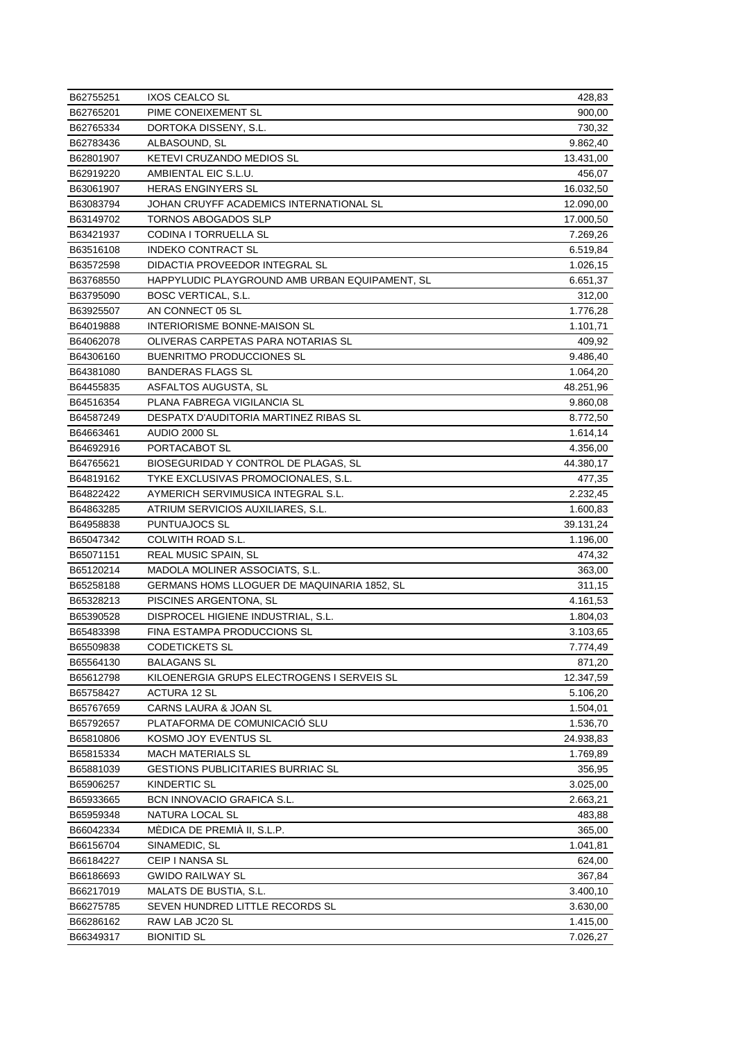| B62755251              | <b>IXOS CEALCO SL</b>                                         | 428,83    |
|------------------------|---------------------------------------------------------------|-----------|
| B62765201              | PIME CONEIXEMENT SL                                           | 900,00    |
| B62765334              | DORTOKA DISSENY, S.L.                                         | 730,32    |
| B62783436              | ALBASOUND, SL                                                 | 9.862,40  |
| B62801907              | KETEVI CRUZANDO MEDIOS SL                                     | 13.431,00 |
| B62919220              | AMBIENTAL EIC S.L.U.                                          | 456,07    |
| B63061907              | HERAS ENGINYERS SL                                            | 16.032,50 |
| B63083794              | JOHAN CRUYFF ACADEMICS INTERNATIONAL SL                       | 12.090,00 |
| B63149702              | TORNOS ABOGADOS SLP                                           | 17.000,50 |
| B63421937              | CODINA I TORRUELLA SL                                         | 7.269,26  |
| B63516108              | INDEKO CONTRACT SL                                            | 6.519,84  |
| B63572598              | DIDACTIA PROVEEDOR INTEGRAL SL                                | 1.026,15  |
| B63768550              | HAPPYLUDIC PLAYGROUND AMB URBAN EQUIPAMENT, SL                | 6.651,37  |
| B63795090              | BOSC VERTICAL, S.L.                                           | 312,00    |
| B63925507              | AN CONNECT 05 SL                                              | 1.776,28  |
| B64019888              | INTERIORISME BONNE-MAISON SL                                  | 1.101,71  |
| B64062078              | OLIVERAS CARPETAS PARA NOTARIAS SL                            | 409,92    |
| B64306160              | BUENRITMO PRODUCCIONES SL                                     | 9.486,40  |
| B64381080              | <b>BANDERAS FLAGS SL</b>                                      | 1.064,20  |
| B64455835              | ASFALTOS AUGUSTA, SL                                          | 48.251,96 |
| B64516354              | PLANA FABREGA VIGILANCIA SL                                   | 9.860,08  |
| B64587249              | DESPATX D'AUDITORIA MARTINEZ RIBAS SL                         | 8.772,50  |
| B64663461              | AUDIO 2000 SL                                                 | 1.614,14  |
| B64692916              | PORTACABOT SL                                                 | 4.356,00  |
| B64765621              | BIOSEGURIDAD Y CONTROL DE PLAGAS, SL                          | 44.380,17 |
| B64819162              | TYKE EXCLUSIVAS PROMOCIONALES, S.L.                           | 477,35    |
| B64822422              | AYMERICH SERVIMUSICA INTEGRAL S.L.                            | 2.232,45  |
| B64863285              | ATRIUM SERVICIOS AUXILIARES, S.L.                             | 1.600,83  |
| B64958838              | PUNTUAJOCS SL                                                 | 39.131,24 |
| B65047342              | COLWITH ROAD S.L.                                             | 1.196,00  |
| B65071151              | REAL MUSIC SPAIN, SL                                          | 474,32    |
| B65120214              | MADOLA MOLINER ASSOCIATS, S.L.                                | 363,00    |
| B65258188              | GERMANS HOMS LLOGUER DE MAQUINARIA 1852, SL                   | 311,15    |
| B65328213              | PISCINES ARGENTONA, SL                                        | 4.161,53  |
| B65390528              | DISPROCEL HIGIENE INDUSTRIAL, S.L.                            | 1.804,03  |
| B65483398              | FINA ESTAMPA PRODUCCIONS SL                                   | 3.103,65  |
| B65509838              | <b>CODETICKETS SL</b>                                         | 7.774,49  |
| B65564130              | BALAGANS SL                                                   | 871,20    |
| B65612798              | KILOENERGIA GRUPS ELECTROGENS I SERVEIS SL                    | 12.347,59 |
| B65758427              | ACTURA 12 SL                                                  | 5.106,20  |
| B65767659              | CARNS LAURA & JOAN SL                                         | 1.504,01  |
| B65792657              | PLATAFORMA DE COMUNICACIÓ SLU                                 | 1.536,70  |
| B65810806              | KOSMO JOY EVENTUS SL                                          |           |
|                        |                                                               | 24.938,83 |
| B65815334<br>B65881039 | MACH MATERIALS SL<br><b>GESTIONS PUBLICITARIES BURRIAC SL</b> | 1.769,89  |
|                        |                                                               | 356,95    |
| B65906257              | <b>KINDERTIC SL</b>                                           | 3.025,00  |
| B65933665              | BCN INNOVACIO GRAFICA S.L.                                    | 2.663,21  |
| B65959348              | NATURA LOCAL SL                                               | 483,88    |
| B66042334              | MÉDICA DE PREMIA II, S.L.P.                                   | 365,00    |
| B66156704              | SINAMEDIC, SL                                                 | 1.041,81  |
| B66184227              | CEIP I NANSA SL                                               | 624,00    |
| B66186693              | <b>GWIDO RAILWAY SL</b>                                       | 367,84    |
| B66217019              | MALATS DE BUSTIA, S.L.                                        | 3.400,10  |
| B66275785              | SEVEN HUNDRED LITTLE RECORDS SL                               | 3.630,00  |
| B66286162              | RAW LAB JC20 SL                                               | 1.415,00  |
| B66349317              | <b>BIONITID SL</b>                                            | 7.026,27  |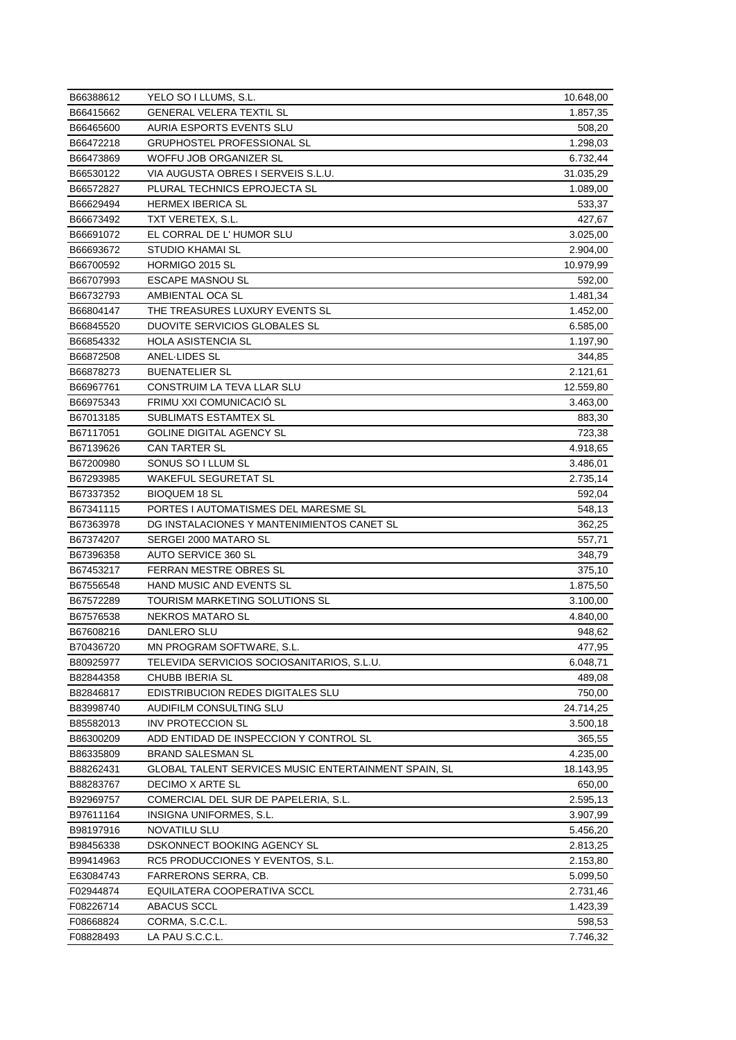| B66388612 | YELO SO I LLUMS, S.L.                                | 10.648,00 |
|-----------|------------------------------------------------------|-----------|
| B66415662 | <b>GENERAL VELERA TEXTIL SL</b>                      | 1.857,35  |
| B66465600 | AURIA ESPORTS EVENTS SLU                             | 508,20    |
| B66472218 | GRUPHOSTEL PROFESSIONAL SL                           | 1.298,03  |
| B66473869 | WOFFU JOB ORGANIZER SL                               | 6.732,44  |
| B66530122 | VIA AUGUSTA OBRES I SERVEIS S.L.U.                   | 31.035,29 |
| B66572827 | PLURAL TECHNICS EPROJECTA SL                         | 1.089,00  |
| B66629494 | HERMEX IBERICA SL                                    | 533,37    |
| B66673492 | TXT VERETEX, S.L.                                    | 427,67    |
| B66691072 | EL CORRAL DE L'HUMOR SLU                             | 3.025,00  |
| B66693672 | STUDIO KHAMAI SL                                     | 2.904,00  |
| B66700592 | HORMIGO 2015 SL                                      | 10.979,99 |
| B66707993 | <b>ESCAPE MASNOU SL</b>                              | 592,00    |
| B66732793 | AMBIENTAL OCA SL                                     | 1.481,34  |
| B66804147 | THE TREASURES LUXURY EVENTS SL                       | 1.452,00  |
| B66845520 | DUOVITE SERVICIOS GLOBALES SL                        | 6.585,00  |
| B66854332 | <b>HOLA ASISTENCIA SL</b>                            | 1.197,90  |
| B66872508 | ANEL-LIDES SL                                        | 344,85    |
| B66878273 | <b>BUENATELIER SL</b>                                | 2.121,61  |
| B66967761 | CONSTRUIM LA TEVA LLAR SLU                           | 12.559,80 |
| B66975343 | FRIMU XXI COMUNICACIÓ SL                             | 3.463,00  |
| B67013185 | <b>SUBLIMATS ESTAMTEX SL</b>                         | 883,30    |
| B67117051 | GOLINE DIGITAL AGENCY SL                             | 723,38    |
| B67139626 | CAN TARTER SL                                        | 4.918,65  |
| B67200980 | SONUS SO I LLUM SL                                   | 3.486,01  |
| B67293985 | WAKEFUL SEGURETAT SL                                 | 2.735,14  |
| B67337352 | <b>BIOQUEM 18 SL</b>                                 | 592,04    |
| B67341115 | PORTES I AUTOMATISMES DEL MARESME SL                 | 548,13    |
| B67363978 | DG INSTALACIONES Y MANTENIMIENTOS CANET SL           | 362,25    |
| B67374207 | SERGEI 2000 MATARO SL                                | 557,71    |
| B67396358 | AUTO SERVICE 360 SL                                  | 348,79    |
| B67453217 | FERRAN MESTRE OBRES SL                               | 375,10    |
| B67556548 | HAND MUSIC AND EVENTS SL                             | 1.875,50  |
| B67572289 | TOURISM MARKETING SOLUTIONS SL                       | 3.100,00  |
| B67576538 | NEKROS MATARO SL                                     | 4.840,00  |
| B67608216 | DANLERO SLU                                          | 948,62    |
| B70436720 | MN PROGRAM SOFTWARE, S.L.                            | 477,95    |
| B80925977 | TELEVIDA SERVICIOS SOCIOSANITARIOS, S.L.U.           | 6.048,71  |
| B82844358 | CHUBB IBERIA SL                                      | 489,08    |
| B82846817 | EDISTRIBUCION REDES DIGITALES SLU                    | 750,00    |
| B83998740 | AUDIFILM CONSULTING SLU                              | 24.714,25 |
| B85582013 | <b>INV PROTECCION SL</b>                             | 3.500,18  |
| B86300209 | ADD ENTIDAD DE INSPECCION Y CONTROL SL               | 365,55    |
| B86335809 | <b>BRAND SALESMAN SL</b>                             | 4.235,00  |
| B88262431 | GLOBAL TALENT SERVICES MUSIC ENTERTAINMENT SPAIN, SL | 18.143,95 |
| B88283767 | DECIMO X ARTE SL                                     | 650,00    |
| B92969757 | COMERCIAL DEL SUR DE PAPELERIA, S.L.                 | 2.595,13  |
| B97611164 | INSIGNA UNIFORMES, S.L.                              | 3.907,99  |
| B98197916 | NOVATILU SLU                                         | 5.456,20  |
| B98456338 | DSKONNECT BOOKING AGENCY SL                          | 2.813,25  |
| B99414963 | RC5 PRODUCCIONES Y EVENTOS, S.L.                     | 2.153,80  |
| E63084743 | FARRERONS SERRA, CB.                                 | 5.099,50  |
| F02944874 | EQUILATERA COOPERATIVA SCCL                          | 2.731,46  |
| F08226714 | ABACUS SCCL                                          | 1.423,39  |
| F08668824 | CORMA, S.C.C.L.                                      | 598,53    |
| F08828493 | LA PAU S.C.C.L.                                      | 7.746,32  |
|           |                                                      |           |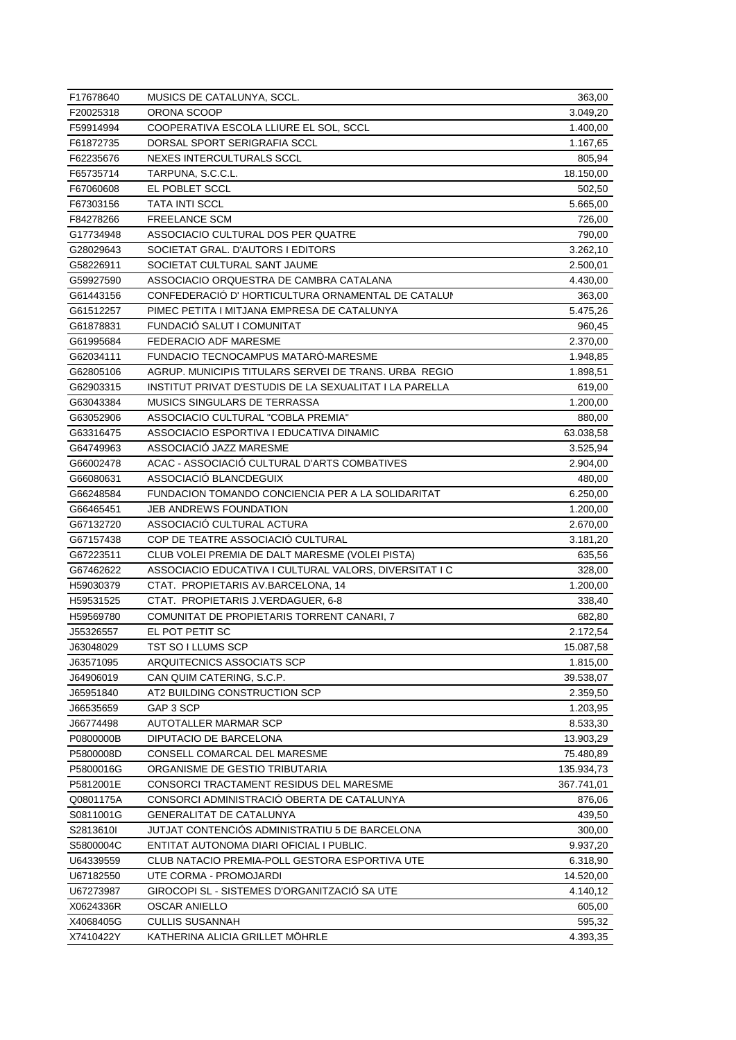| F17678640 | MUSICS DE CATALUNYA, SCCL.                              | 363,00     |
|-----------|---------------------------------------------------------|------------|
| F20025318 | ORONA SCOOP                                             | 3.049,20   |
| F59914994 | COOPERATIVA ESCOLA LLIURE EL SOL, SCCL                  | 1.400,00   |
| F61872735 | DORSAL SPORT SERIGRAFIA SCCL                            | 1.167,65   |
| F62235676 | NEXES INTERCULTURALS SCCL                               | 805,94     |
| F65735714 | TARPUNA, S.C.C.L.                                       | 18.150,00  |
| F67060608 | EL POBLET SCCL                                          | 502,50     |
| F67303156 | TATA INTI SCCL                                          | 5.665,00   |
| F84278266 | <b>FREELANCE SCM</b>                                    | 726,00     |
| G17734948 | ASSOCIACIO CULTURAL DOS PER QUATRE                      | 790,00     |
| G28029643 | SOCIETAT GRAL. D'AUTORS I EDITORS                       | 3.262,10   |
| G58226911 | SOCIETAT CULTURAL SANT JAUME                            | 2.500,01   |
| G59927590 | ASSOCIACIO ORQUESTRA DE CAMBRA CATALANA                 | 4.430,00   |
| G61443156 | CONFEDERACIÓ D'HORTICULTURA ORNAMENTAL DE CATALUN       | 363,00     |
| G61512257 | PIMEC PETITA I MITJANA EMPRESA DE CATALUNYA             | 5.475,26   |
| G61878831 | FUNDACIO SALUT I COMUNITAT                              | 960,45     |
| G61995684 | FEDERACIO ADF MARESME                                   | 2.370,00   |
| G62034111 | FUNDACIO TECNOCAMPUS MATARO-MARESME                     | 1.948,85   |
| G62805106 | AGRUP. MUNICIPIS TITULARS SERVEI DE TRANS. URBA REGIO   | 1.898,51   |
| G62903315 | INSTITUT PRIVAT D'ESTUDIS DE LA SEXUALITAT I LA PARELLA | 619,00     |
| G63043384 | <b>MUSICS SINGULARS DE TERRASSA</b>                     | 1.200,00   |
| G63052906 | ASSOCIACIO CULTURAL "COBLA PREMIA"                      | 880,00     |
| G63316475 | ASSOCIACIO ESPORTIVA I EDUCATIVA DINAMIC                | 63.038,58  |
| G64749963 | ASSOCIACIO JAZZ MARESME                                 | 3.525,94   |
| G66002478 | ACAC - ASSOCIACIO CULTURAL D'ARTS COMBATIVES            | 2.904,00   |
| G66080631 | ASSOCIACIO BLANCDEGUIX                                  | 480,00     |
| G66248584 | FUNDACION TOMANDO CONCIENCIA PER A LA SOLIDARITAT       | 6.250,00   |
| G66465451 | <b>JEB ANDREWS FOUNDATION</b>                           | 1.200,00   |
| G67132720 | ASSOCIACIO CULTURAL ACTURA                              | 2.670,00   |
| G67157438 | COP DE TEATRE ASSOCIACIÓ CULTURAL                       | 3.181,20   |
| G67223511 | CLUB VOLEI PREMIA DE DALT MARESME (VOLEI PISTA)         | 635,56     |
| G67462622 | ASSOCIACIO EDUCATIVA I CULTURAL VALORS, DIVERSITAT I C  | 328,00     |
| H59030379 | CTAT. PROPIETARIS AV.BARCELONA, 14                      | 1.200,00   |
| H59531525 | CTAT. PROPIETARIS J.VERDAGUER, 6-8                      | 338,40     |
| H59569780 | COMUNITAT DE PROPIETARIS TORRENT CANARI, 7              | 682,80     |
| J55326557 | EL POT PETIT SC                                         | 2.172,54   |
| J63048029 | TST SO I LLUMS SCP                                      | 15.087,58  |
| J63571095 | ARQUITECNICS ASSOCIATS SCP                              | 1.815,00   |
| J64906019 | CAN QUIM CATERING, S.C.P.                               | 39.538,07  |
| J65951840 | AT2 BUILDING CONSTRUCTION SCP                           | 2.359,50   |
| J66535659 | GAP 3 SCP                                               | 1.203,95   |
| J66774498 | AUTOTALLER MARMAR SCP                                   | 8.533,30   |
| P0800000B | DIPUTACIO DE BARCELONA                                  | 13.903,29  |
| P5800008D | CONSELL COMARCAL DEL MARESME                            | 75.480,89  |
| P5800016G | ORGANISME DE GESTIO TRIBUTARIA                          | 135.934,73 |
| P5812001E | <b>CONSORCI TRACTAMENT RESIDUS DEL MARESME</b>          | 367.741,01 |
| Q0801175A | CONSORCI ADMINISTRACIÓ OBERTA DE CATALUNYA              | 876,06     |
| S0811001G | GENERALITAT DE CATALUNYA                                | 439,50     |
| S2813610I | JUTJAT CONTENCIOS ADMINISTRATIU 5 DE BARCELONA          | 300,00     |
| S5800004C | ENTITAT AUTONOMA DIARI OFICIAL I PUBLIC.                | 9.937,20   |
| U64339559 | CLUB NATACIO PREMIA-POLL GESTORA ESPORTIVA UTE          | 6.318,90   |
| U67182550 | UTE CORMA - PROMOJARDI                                  | 14.520,00  |
| U67273987 | GIROCOPI SL - SISTEMES D'ORGANITZACIO SA UTE            | 4.140,12   |
| X0624336R | OSCAR ANIELLO                                           | 605,00     |
| X4068405G | CULLIS SUSANNAH                                         | 595,32     |
| X7410422Y | KATHERINA ALICIA GRILLET MOHRLE                         | 4.393,35   |